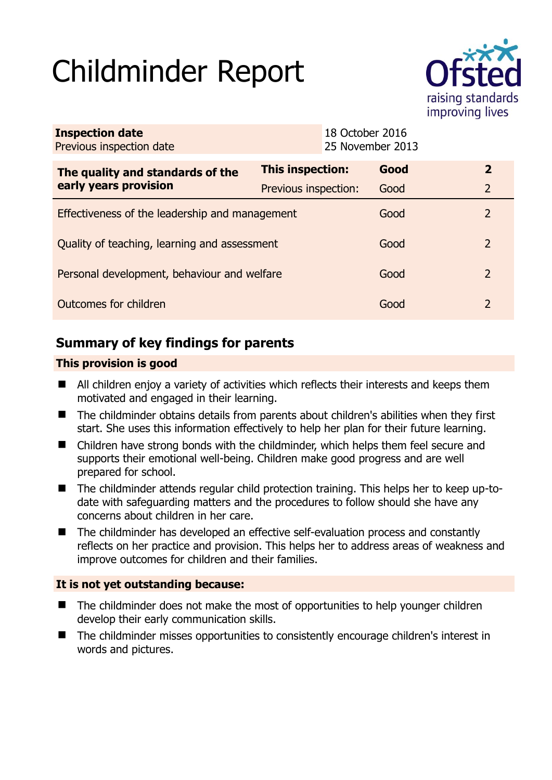# Childminder Report



| <b>Inspection date</b><br>Previous inspection date        |                         | 18 October 2016<br>25 November 2013 |      |                |
|-----------------------------------------------------------|-------------------------|-------------------------------------|------|----------------|
| The quality and standards of the<br>early years provision | <b>This inspection:</b> |                                     | Good | $\mathbf{2}$   |
|                                                           | Previous inspection:    |                                     | Good | $\overline{2}$ |
| Effectiveness of the leadership and management            |                         |                                     | Good | 2              |
| Quality of teaching, learning and assessment              |                         |                                     | Good | 2              |
| Personal development, behaviour and welfare               |                         |                                     | Good | 2              |
| Outcomes for children                                     |                         |                                     | Good | $\mathcal{P}$  |

# **Summary of key findings for parents**

## **This provision is good**

- All children enjoy a variety of activities which reflects their interests and keeps them motivated and engaged in their learning.
- The childminder obtains details from parents about children's abilities when they first start. She uses this information effectively to help her plan for their future learning.
- Children have strong bonds with the childminder, which helps them feel secure and supports their emotional well-being. Children make good progress and are well prepared for school.
- The childminder attends regular child protection training. This helps her to keep up-todate with safeguarding matters and the procedures to follow should she have any concerns about children in her care.
- The childminder has developed an effective self-evaluation process and constantly reflects on her practice and provision. This helps her to address areas of weakness and improve outcomes for children and their families.

## **It is not yet outstanding because:**

- The childminder does not make the most of opportunities to help younger children develop their early communication skills.
- The childminder misses opportunities to consistently encourage children's interest in words and pictures.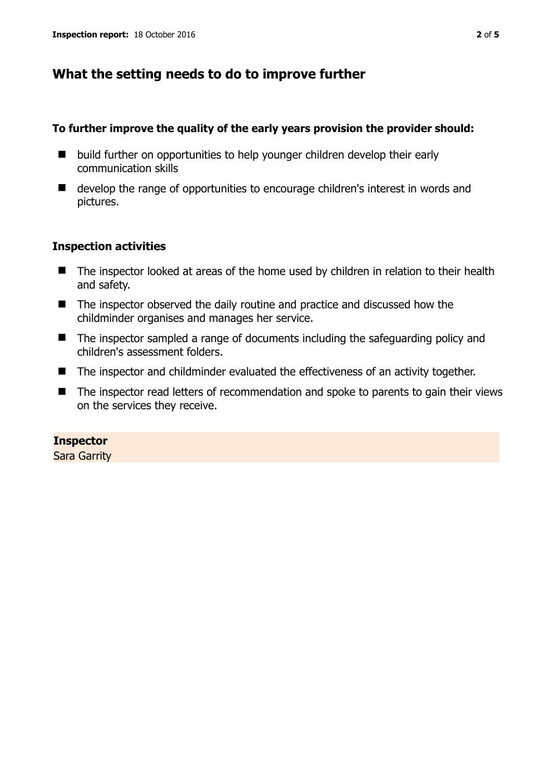# **What the setting needs to do to improve further**

## **To further improve the quality of the early years provision the provider should:**

- build further on opportunities to help younger children develop their early communication skills
- develop the range of opportunities to encourage children's interest in words and pictures.

## **Inspection activities**

- The inspector looked at areas of the home used by children in relation to their health and safety.
- The inspector observed the daily routine and practice and discussed how the childminder organises and manages her service.
- The inspector sampled a range of documents including the safeguarding policy and children's assessment folders.
- The inspector and childminder evaluated the effectiveness of an activity together.
- The inspector read letters of recommendation and spoke to parents to gain their views on the services they receive.

## **Inspector**

Sara Garrity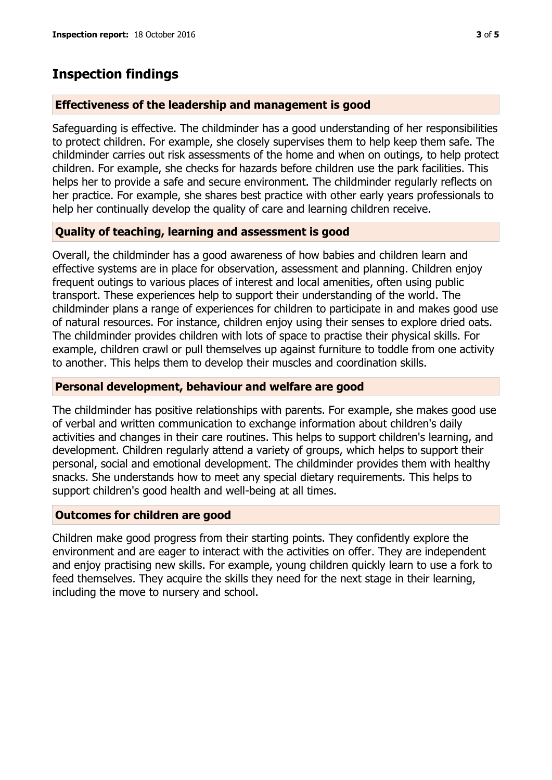# **Inspection findings**

## **Effectiveness of the leadership and management is good**

Safeguarding is effective. The childminder has a good understanding of her responsibilities to protect children. For example, she closely supervises them to help keep them safe. The childminder carries out risk assessments of the home and when on outings, to help protect children. For example, she checks for hazards before children use the park facilities. This helps her to provide a safe and secure environment. The childminder regularly reflects on her practice. For example, she shares best practice with other early years professionals to help her continually develop the quality of care and learning children receive.

## **Quality of teaching, learning and assessment is good**

Overall, the childminder has a good awareness of how babies and children learn and effective systems are in place for observation, assessment and planning. Children enjoy frequent outings to various places of interest and local amenities, often using public transport. These experiences help to support their understanding of the world. The childminder plans a range of experiences for children to participate in and makes good use of natural resources. For instance, children enjoy using their senses to explore dried oats. The childminder provides children with lots of space to practise their physical skills. For example, children crawl or pull themselves up against furniture to toddle from one activity to another. This helps them to develop their muscles and coordination skills.

## **Personal development, behaviour and welfare are good**

The childminder has positive relationships with parents. For example, she makes good use of verbal and written communication to exchange information about children's daily activities and changes in their care routines. This helps to support children's learning, and development. Children regularly attend a variety of groups, which helps to support their personal, social and emotional development. The childminder provides them with healthy snacks. She understands how to meet any special dietary requirements. This helps to support children's good health and well-being at all times.

#### **Outcomes for children are good**

Children make good progress from their starting points. They confidently explore the environment and are eager to interact with the activities on offer. They are independent and enjoy practising new skills. For example, young children quickly learn to use a fork to feed themselves. They acquire the skills they need for the next stage in their learning, including the move to nursery and school.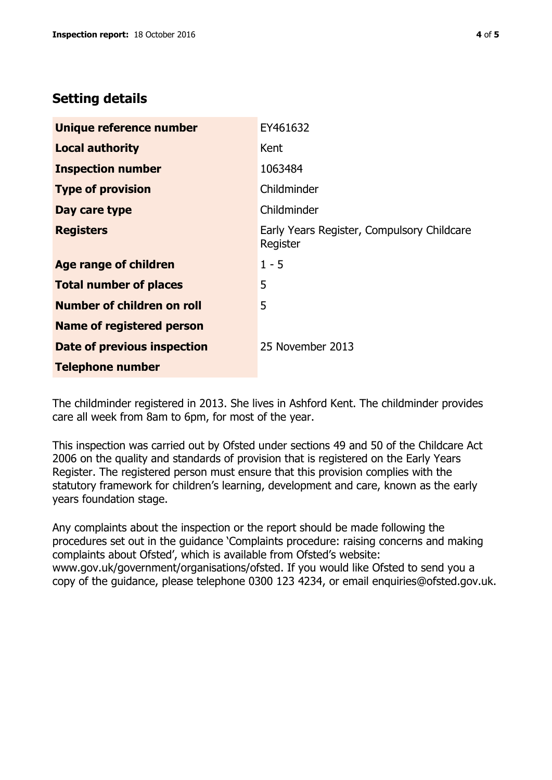# **Setting details**

| Unique reference number          | EY461632                                               |  |
|----------------------------------|--------------------------------------------------------|--|
| <b>Local authority</b>           | Kent                                                   |  |
| <b>Inspection number</b>         | 1063484                                                |  |
| <b>Type of provision</b>         | Childminder                                            |  |
| Day care type                    | Childminder                                            |  |
| <b>Registers</b>                 | Early Years Register, Compulsory Childcare<br>Register |  |
| Age range of children            | $1 - 5$                                                |  |
| <b>Total number of places</b>    | 5                                                      |  |
| Number of children on roll       | 5                                                      |  |
| <b>Name of registered person</b> |                                                        |  |
| Date of previous inspection      | 25 November 2013                                       |  |
| <b>Telephone number</b>          |                                                        |  |

The childminder registered in 2013. She lives in Ashford Kent. The childminder provides care all week from 8am to 6pm, for most of the year.

This inspection was carried out by Ofsted under sections 49 and 50 of the Childcare Act 2006 on the quality and standards of provision that is registered on the Early Years Register. The registered person must ensure that this provision complies with the statutory framework for children's learning, development and care, known as the early years foundation stage.

Any complaints about the inspection or the report should be made following the procedures set out in the guidance 'Complaints procedure: raising concerns and making complaints about Ofsted', which is available from Ofsted's website: www.gov.uk/government/organisations/ofsted. If you would like Ofsted to send you a copy of the guidance, please telephone 0300 123 4234, or email enquiries@ofsted.gov.uk.